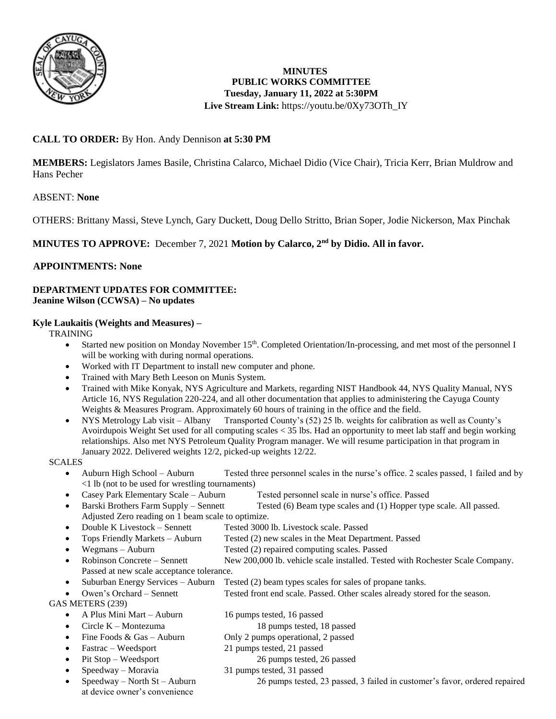

# **MINUTES PUBLIC WORKS COMMITTEE Tuesday, January 11, 2022 at 5:30PM Live Stream Link:** [https://youtu.be/0Xy73OTh\\_IY](https://youtu.be/0Xy73OTh_IY)

# **CALL TO ORDER:** By Hon. Andy Dennison **at 5:30 PM**

**MEMBERS:** Legislators James Basile, Christina Calarco, Michael Didio (Vice Chair), Tricia Kerr, Brian Muldrow and Hans Pecher

# ABSENT: **None**

OTHERS: Brittany Massi, Steve Lynch, Gary Duckett, Doug Dello Stritto, Brian Soper, Jodie Nickerson, Max Pinchak

# **MINUTES TO APPROVE:** December 7, 2021 **Motion by Calarco, 2nd by Didio. All in favor.**

## **APPOINTMENTS: None**

#### **DEPARTMENT UPDATES FOR COMMITTEE: Jeanine Wilson (CCWSA) – No updates**

#### **Kyle Laukaitis (Weights and Measures) –**

TRAINING

- Started new position on Monday November 15th. Completed Orientation/In-processing, and met most of the personnel I will be working with during normal operations.
- Worked with IT Department to install new computer and phone.
- Trained with Mary Beth Leeson on Munis System.
- Trained with Mike Konyak, NYS Agriculture and Markets, regarding NIST Handbook 44, NYS Quality Manual, NYS Article 16, NYS Regulation 220-224, and all other documentation that applies to administering the Cayuga County Weights & Measures Program. Approximately 60 hours of training in the office and the field.
- NYS Metrology Lab visit Albany Transported County's (52) 25 lb. weights for calibration as well as County's Avoirdupois Weight Set used for all computing scales < 35 lbs. Had an opportunity to meet lab staff and begin working relationships. Also met NYS Petroleum Quality Program manager. We will resume participation in that program in January 2022. Delivered weights 12/2, picked-up weights 12/22.

**SCALES** 

- Auburn High School Auburn Tested three personnel scales in the nurse's office. 2 scales passed, 1 failed and by <1 lb (not to be used for wrestling tournaments)
- Casey Park Elementary Scale Auburn Tested personnel scale in nurse's office. Passed
- Barski Brothers Farm Supply Sennett Tested (6) Beam type scales and (1) Hopper type scale. All passed. Adjusted Zero reading on 1 beam scale to optimize.
- Double K Livestock Sennett Tested 3000 lb. Livestock scale. Passed
- Tops Friendly Markets Auburn Tested (2) new scales in the Meat Department. Passed
- Wegmans Auburn Tested (2) repaired computing scales. Passed
- Robinson Concrete Sennett New 200,000 lb. vehicle scale installed. Tested with Rochester Scale Company. Passed at new scale acceptance tolerance.
- Suburban Energy Services Auburn Tested (2) beam types scales for sales of propane tanks.
- Owen's Orchard Sennett Tested front end scale. Passed. Other scales already stored for the season.

GAS METERS (239)

- A Plus Mini Mart Auburn 16 pumps tested, 16 passed
- Circle K Montezuma 18 pumps tested, 18 passed
- Fine Foods & Gas Auburn Only 2 pumps operational, 2 passed
- Fastrac Weedsport 21 pumps tested, 21 passed
- Pit Stop Weedsport 26 pumps tested, 26 passed
	- Speedway Moravia 31 pumps tested, 31 passed
	- Speedway North St Auburn 26 pumps tested, 23 passed, 3 failed in customer's favor, ordered repaired
- at device owner's convenience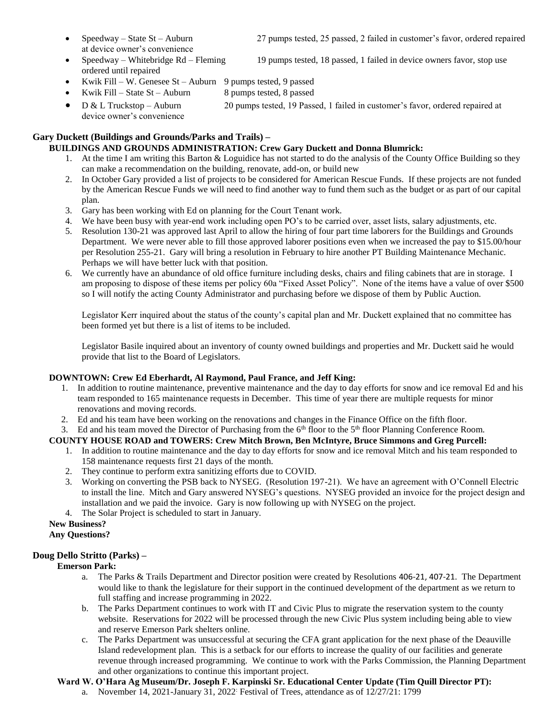at device owner's convenience

- Speedway Whitebridge Rd Fleming 19 pumps tested, 18 passed, 1 failed in device owners favor, stop use ordered until repaired
- Kwik Fill W. Genesee  $St -$ Auburn 9 pumps tested, 9 passed
- Kwik Fill State St Auburn  $\begin{array}{c} 8 \text{ pumps tested, } 8 \text{ passed} \end{array}$
- D & L Truckstop Auburn 20 pumps tested, 19 Passed, 1 failed in customer's favor, ordered repaired at device owner's convenience

## **Gary Duckett (Buildings and Grounds/Parks and Trails) –**

#### **BUILDINGS AND GROUNDS ADMINISTRATION: Crew Gary Duckett and Donna Blumrick:**

- 1. At the time I am writing this Barton & Loguidice has not started to do the analysis of the County Office Building so they can make a recommendation on the building, renovate, add-on, or build new
- 2. In October Gary provided a list of projects to be considered for American Rescue Funds. If these projects are not funded by the American Rescue Funds we will need to find another way to fund them such as the budget or as part of our capital plan.
- 3. Gary has been working with Ed on planning for the Court Tenant work.
- 4. We have been busy with year-end work including open PO's to be carried over, asset lists, salary adjustments, etc.
- 5. Resolution 130-21 was approved last April to allow the hiring of four part time laborers for the Buildings and Grounds Department. We were never able to fill those approved laborer positions even when we increased the pay to \$15.00/hour per Resolution 255-21. Gary will bring a resolution in February to hire another PT Building Maintenance Mechanic. Perhaps we will have better luck with that position.
- 6. We currently have an abundance of old office furniture including desks, chairs and filing cabinets that are in storage. I am proposing to dispose of these items per policy 60a "Fixed Asset Policy". None of the items have a value of over \$500 so I will notify the acting County Administrator and purchasing before we dispose of them by Public Auction.

Legislator Kerr inquired about the status of the county's capital plan and Mr. Duckett explained that no committee has been formed yet but there is a list of items to be included.

Legislator Basile inquired about an inventory of county owned buildings and properties and Mr. Duckett said he would provide that list to the Board of Legislators.

#### **DOWNTOWN: Crew Ed Eberhardt, Al Raymond, Paul France, and Jeff King:**

- 1. In addition to routine maintenance, preventive maintenance and the day to day efforts for snow and ice removal Ed and his team responded to 165 maintenance requests in December. This time of year there are multiple requests for minor renovations and moving records.
- 2. Ed and his team have been working on the renovations and changes in the Finance Office on the fifth floor.

#### 3. Ed and his team moved the Director of Purchasing from the  $6<sup>th</sup>$  floor to the  $5<sup>th</sup>$  floor Planning Conference Room.

#### **COUNTY HOUSE ROAD and TOWERS: Crew Mitch Brown, Ben McIntyre, Bruce Simmons and Greg Purcell:**

- 1. In addition to routine maintenance and the day to day efforts for snow and ice removal Mitch and his team responded to 158 maintenance requests first 21 days of the month.
- 2. They continue to perform extra sanitizing efforts due to COVID.
- 3. Working on converting the PSB back to NYSEG. (Resolution 197-21). We have an agreement with O'Connell Electric to install the line. Mitch and Gary answered NYSEG's questions. NYSEG provided an invoice for the project design and installation and we paid the invoice. Gary is now following up with NYSEG on the project.
- 4. The Solar Project is scheduled to start in January.

#### **New Business? Any Questions?**

#### **Doug Dello Stritto (Parks) –**

#### **Emerson Park:**

- a. The Parks & Trails Department and Director position were created by Resolutions 406-21, 407-21. The Department would like to thank the legislature for their support in the continued development of the department as we return to full staffing and increase programming in 2022.
- b. The Parks Department continues to work with IT and Civic Plus to migrate the reservation system to the county website. Reservations for 2022 will be processed through the new Civic Plus system including being able to view and reserve Emerson Park shelters online.
- c. The Parks Department was unsuccessful at securing the CFA grant application for the next phase of the Deauville Island redevelopment plan. This is a setback for our efforts to increase the quality of our facilities and generate revenue through increased programming. We continue to work with the Parks Commission, the Planning Department and other organizations to continue this important project.

#### **Ward W. O'Hara Ag Museum/Dr. Joseph F. Karpinski Sr. Educational Center Update (Tim Quill Director PT):**

a. November 14, 2021-January 31, 2022: Festival of Trees, attendance as of 12/27/21: 1799